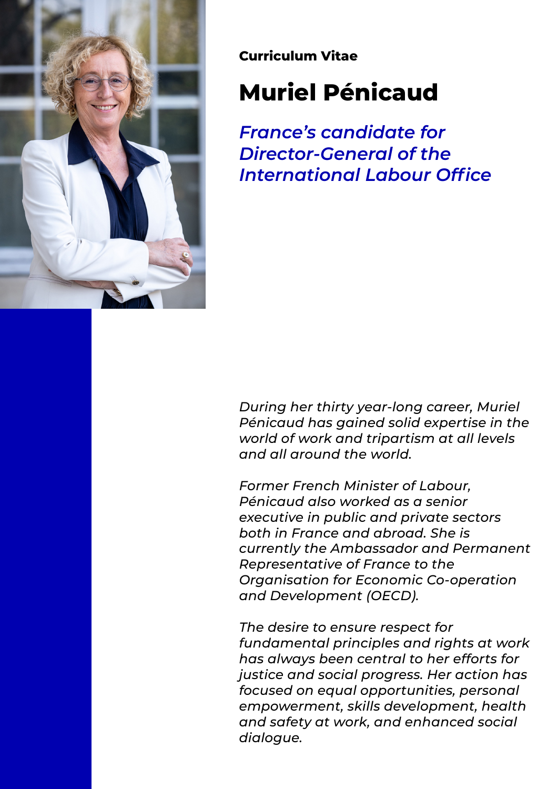

**Curriculum Vitae**

# **Muriel Pénicaud**

*France's candidate for Director-General of the International Labour Office* 

*During her thirty year-long career, Muriel Pénicaud has gained solid expertise in the world of work and tripartism at all levels and all around the world.* 

*Former French Minister of Labour, Pénicaud also worked as a senior executive in public and private sectors both in France and abroad. She is currently the Ambassador and Permanent Representative of France to the Organisation for Economic Co-operation and Development (OECD).* 

*The desire to ensure respect for fundamental principles and rights at work has always been central to her efforts for justice and social progress. Her action has focused on equal opportunities, personal empowerment, skills development, health and safety at work, and enhanced social dialogue.*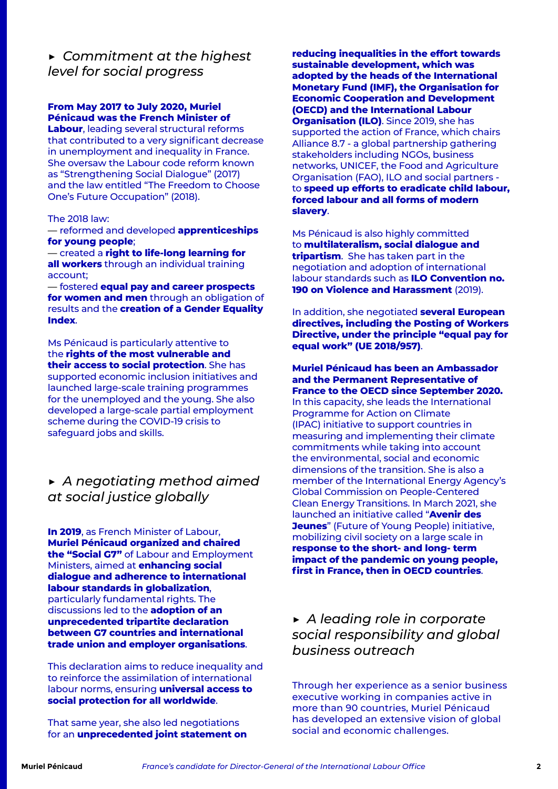*▶ Commitment at the highest level for social progress* 

## **From May 2017 to July 2020, Muriel Pénicaud was the French Minister of**

**Labour**, leading several structural reforms that contributed to a very significant decrease in unemployment and inequality in France. She oversaw the Labour code reform known as "Strengthening Social Dialogue" (2017) and the law entitled "The Freedom to Choose One's Future Occupation" (2018).

#### The 2018 law:

— reformed and developed **apprenticeships for young people**;

— created a **right to life-long learning for all workers** through an individual training account;

— fostered **equal pay and career prospects for women and men** through an obligation of results and the **creation of a Gender Equality Index**.

Ms Pénicaud is particularly attentive to the **rights of the most vulnerable and their access to social protection**. She has supported economic inclusion initiatives and launched large-scale training programmes for the unemployed and the young. She also developed a large-scale partial employment scheme during the COVID-19 crisis to safeguard jobs and skills.

## *▶ A negotiating method aimed at social justice globally*

**In 2019**, as French Minister of Labour, **Muriel Pénicaud organized and chaired the "Social G7"** of Labour and Employment Ministers, aimed at **enhancing social dialogue and adherence to international labour standards in globalization**, particularly fundamental rights. The discussions led to the **adoption of an unprecedented tripartite declaration between G7 countries and international trade union and employer organisations**.

This declaration aims to reduce inequality and to reinforce the assimilation of international labour norms, ensuring **universal access to social protection for all worldwide**.

That same year, she also led negotiations for an **unprecedented joint statement on**  **reducing inequalities in the effort towards sustainable development, which was adopted by the heads of the International Monetary Fund (IMF), the Organisation for Economic Cooperation and Development (OECD) and the International Labour Organisation (ILO)**. Since 2019, she has supported the action of France, which chairs Alliance 8.7 - a global partnership gathering stakeholders including NGOs, business networks, UNICEF, the Food and Agriculture Organisation (FAO), ILO and social partners to **speed up efforts to eradicate child labour, forced labour and all forms of modern slavery**.

Ms Pénicaud is also highly committed to **multilateralism, social dialogue and tripartism**. She has taken part in the negotiation and adoption of international labour standards such as **ILO Convention no. 190 on Violence and Harassment** (2019).

In addition, she negotiated **several European directives, including the Posting of Workers Directive, under the principle "equal pay for equal work" (UE 2018/957)**.

### **Muriel Pénicaud has been an Ambassador and the Permanent Representative of France to the OECD since September 2020.**

In this capacity, she leads the International Programme for Action on Climate (IPAC) initiative to support countries in measuring and implementing their climate commitments while taking into account the environmental, social and economic dimensions of the transition. She is also a member of the International Energy Agency's Global Commission on People-Centered Clean Energy Transitions. In March 2021, she launched an initiative called "**Avenir des Jeunes**" (Future of Young People) initiative, mobilizing civil society on a large scale in **response to the short- and long- term impact of the pandemic on young people, first in France, then in OECD countries**.

## *▶ A leading role in corporate social responsibility and global business outreach*

Through her experience as a senior business executive working in companies active in more than 90 countries, Muriel Pénicaud has developed an extensive vision of global social and economic challenges.